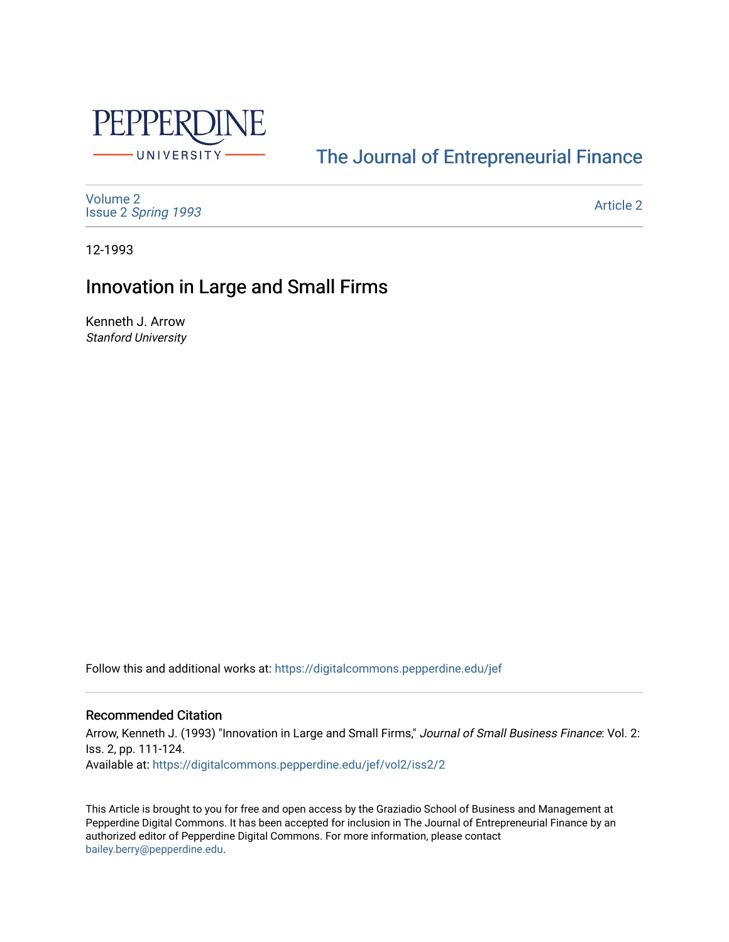

# [The Journal of Entrepreneurial Finance](https://digitalcommons.pepperdine.edu/jef)

[Volume 2](https://digitalcommons.pepperdine.edu/jef/vol2) Issue 2 [Spring 1993](https://digitalcommons.pepperdine.edu/jef/vol2/iss2) 

[Article 2](https://digitalcommons.pepperdine.edu/jef/vol2/iss2/2) 

12-1993

## Innovation in Large and Small Firms

Kenneth J. Arrow Stanford University

Follow this and additional works at: [https://digitalcommons.pepperdine.edu/jef](https://digitalcommons.pepperdine.edu/jef?utm_source=digitalcommons.pepperdine.edu%2Fjef%2Fvol2%2Fiss2%2F2&utm_medium=PDF&utm_campaign=PDFCoverPages) 

#### Recommended Citation

Arrow, Kenneth J. (1993) "Innovation in Large and Small Firms," Journal of Small Business Finance: Vol. 2: Iss. 2, pp. 111-124. Available at: [https://digitalcommons.pepperdine.edu/jef/vol2/iss2/2](https://digitalcommons.pepperdine.edu/jef/vol2/iss2/2?utm_source=digitalcommons.pepperdine.edu%2Fjef%2Fvol2%2Fiss2%2F2&utm_medium=PDF&utm_campaign=PDFCoverPages)

This Article is brought to you for free and open access by the Graziadio School of Business and Management at Pepperdine Digital Commons. It has been accepted for inclusion in The Journal of Entrepreneurial Finance by an authorized editor of Pepperdine Digital Commons. For more information, please contact [bailey.berry@pepperdine.edu](mailto:bailey.berry@pepperdine.edu).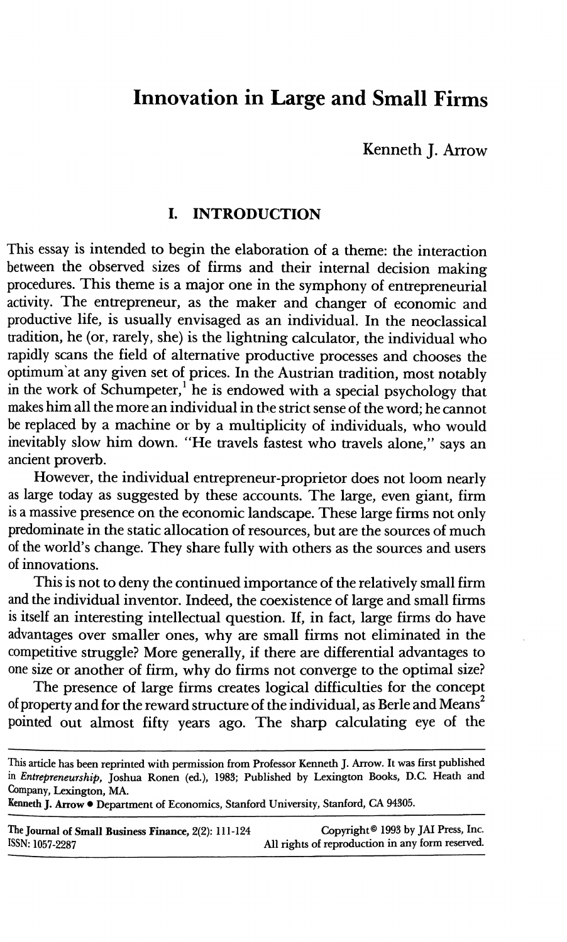# **Innovation in Large and Small Firms**

**Kenneth J. Arrow**

#### **I. INTRODUCTION**

This essay is intended to begin the elaboration of a theme: the interaction between the observed sizes of firms and their internal decision making procedures. This theme is a major one in the symphony of entrepreneurial activity. The entrepreneur, as the maker and changer of economic and productive life, is usually envisaged as an individual. In the neoclassical tradition, he (or, rarely, she) is the lightning calculator, the individual who rapidly scans the field of alternative productive processes and chooses the optimum'at any given set of prices. In the Austrian tradition, most notably in the work of Schumpeter,' he is endowed with a special psychology that makes him all the more an individual in the strict sense of the word; he cannot be replaced by a machine or by a multiplicity of individuals, who would inevitably slow him down. "He travels fastest who travels alone," says an ancient proverb.

However, the individual entrepreneur-proprietor does not loom nearly as large today as suggested by these accounts. The large, even giant, firm is a massive presence on the economic landscape. These large firms not only predominate in the static allocation of resources, but are the sources of much of the world's change. They share fully with others as the sources and users of innovations.

This is not to deny the continued importance of the relatively small firm and the individual inventor. Indeed, the coexistence of large and small firms is itself an interesting intellectual question. If, in fact, large firms do have advantages over smaller ones, why are small firms not eliminated in the competitive struggle? More generally, if there are differential advantages to one size or another of firm, why do firms not converge to the optimal size?

The presence of large firms creates logical difficulties for the concept of property and for the reward structure of the individual, as Berle and Means<sup>2</sup> pointed out almost fifty years ago. The sharp calculating eye of the

**Kenneth J. Arrow • Department of Economics, Stanford University, Stanford, CA 94305.**

| The Journal of Small Business Finance, 2(2): 111-124 | Copyright <sup>©</sup> 1993 by JAI Press, Inc.   |
|------------------------------------------------------|--------------------------------------------------|
| ISSN: 1057-2287                                      | All rights of reproduction in any form reserved. |

**This article has been reprinted with permission from Professor Kenneth J. Arrow. It was first published in** *Entrepreneurshipy* **Joshua Ronen (ed.), 1983; Published by Lexington Books, D.C. Heath and Company, Lexington, MA.**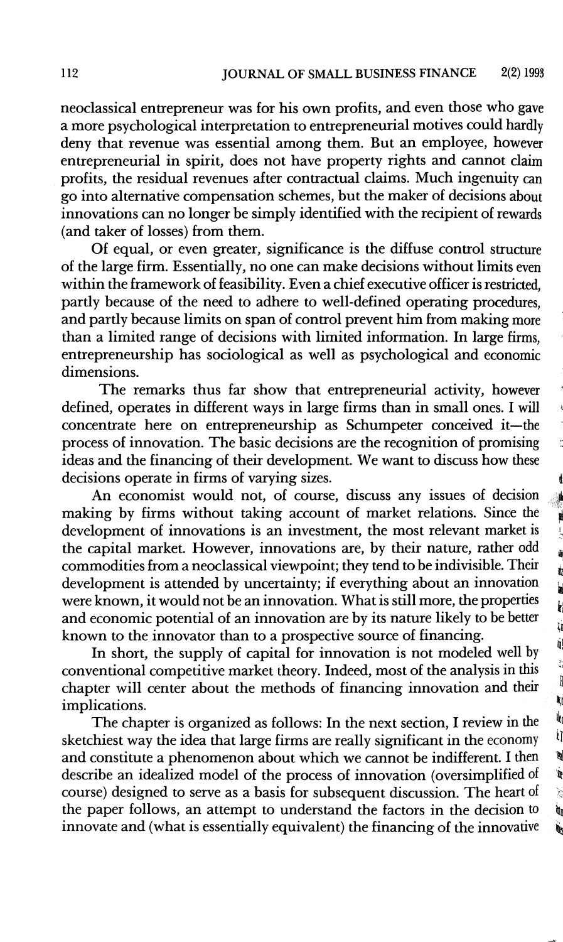neoclassical entrepreneur was for his own profits, and even those who gave a more psychological interpretation to entrepreneurial motives could hardly deny that revenue was essential among them. But an employee, however entrepreneurial in spirit, does not have property rights and cannot claim profits, the residual revenues after contractual claims. Much ingenuity can go into alternative compensation schemes, but the maker of decisions about innovations can no longer be simply identified with the recipient of rewards (and taker of losses) from them.

Of equal, or even greater, significance is the diffuse control structure of the large firm. Essentially, no one can make decisions without limits even within the framework of feasibility. Even a chief executive officer is restricted, partly because of the need to adhere to well-defined operating procedures, and partly because limits on span of control prevent him from making more than a limited range of decisions with limited information. In large firms, entrepreneurship has sociological as well as psychological and economic dimensions.

The remarks thus far show that entrepreneurial activity, however defined, operates in different ways in large firms than in small ones. I will concentrate here on entrepreneurship as Schumpeter conceived it—the process of innovation. The basic decisions are the recognition of promising ideas and the financing of their development. We want to discuss how these decisions operate in firms of varying sizes.

An economist would not, of course, discuss any issues of decision making by firms without taking account of market relations. Since the development of innovations is an investment, the most relevant market is the capital market. However, innovations are, by their nature, rather odd commodities from a neoclassical viewpoint; they tend to be indivisible. Their development is attended by uncertainty; if everything about an innovation were known, it would not be an innovation. What is still more, the properties and economic potential of an innovation are by its nature likely to be better known to the innovator than to a prospective source of financing.

Ù

ŀ ij ij

 $\frac{1}{2}$ 

Ŋ  $\frac{1}{2}$ ij ŋ i. )<br>D .<br>प् i.

In short, the supply of capital for innovation is not modeled well by conventional competitive market theory. Indeed, most of the analysis in this chapter will center about the methods of financing innovation and their implications.

The chapter is organized as follows: In the next section, I review in the sketchiest way the idea that large firms are really significant in the economy and constitute a phenomenon about which we cannot be indifferent. I then describe an idealized model of the process of innovation (oversimplified of course) designed to serve as a basis for subsequent discussion. The heart of the paper follows, an attempt to understand the factors in the decision to innovate and (what is essentially equivalent) the financing of the innovative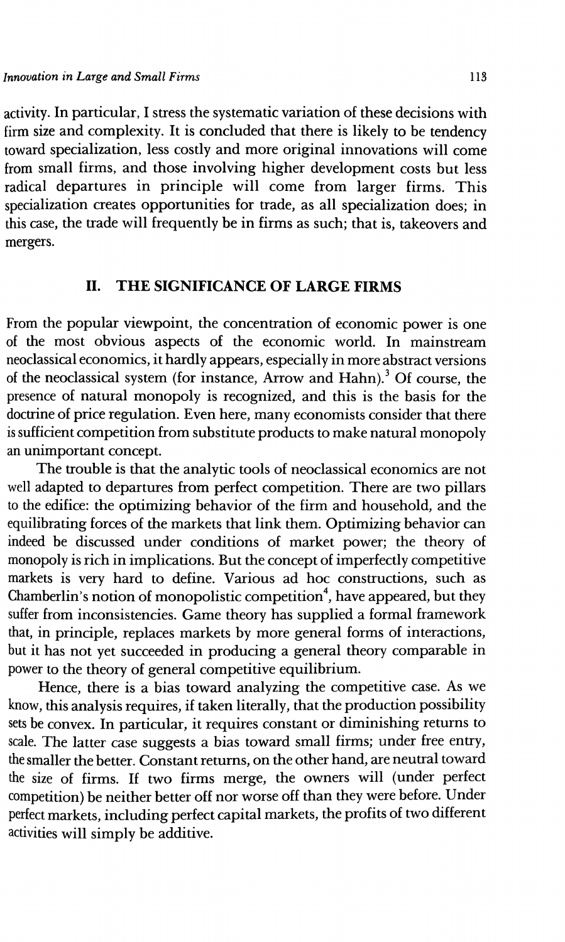activity. In particular, I stress the systematic variation of these decisions with firm size and complexity. It is concluded that there is likely to be tendency toward specialization, less costly and more original innovations will come from small firms, and those involving higher development costs but less radical departures in principle will come from larger firms. This specialization creates opportunities for trade, as all specialization does; in this case, the trade will frequently be in firms as such; that is, takeovers and mergers.

#### II. THE SIGNIFICANCE OF LARGE FIRMS

From the popular viewpoint, the concentration of economic power is one of the most obvious aspects of the economic world. In mainstream neoclassical economics, it hardly appears, especially in more abstract versions of the neoclassical system (for instance, Arrow and Hahn).<sup>3</sup> Of course, the presence of natural monopoly is recognized, and this is the basis for the doctrine of price regulation. Even here, many economists consider that there is sufficient competition from substitute products to make natural monopoly an unimportant concept.

The trouble is that the analytic tools of neoclassical economics are not well adapted to departures from perfect competition. There are two pillars to the edifice: the optimizing behavior of the firm and household, and the equilibrating forces of the markets that link them. Optimizing behavior can indeed be discussed under conditions of market power; the theory of monopoly is rich in implications. But the concept of imperfectly competitive markets is very hard to define. Various ad hoc constructions, such as Chamberlin's notion of monopolistic competition<sup>4</sup>, have appeared, but they suffer from inconsistencies. Game theory has supplied a formal framework that, in principle, replaces markets by more general forms of interactions, but it has not yet succeeded in producing a general theory comparable in power to the theory of general competitive equilibrium.

Hence, there is a bias toward analyzing the competitive case. As we know, this analysis requires, if taken literally, that the production possibility sets be convex. In particular, it requires constant or diminishing returns to scale. The latter case suggests a bias toward small firms; under free entry, the smaller the better. Constant returns, on the other hand, are neutral toward the size of firms. If two firms merge, the owners will (under perfect competition) be neither better off nor worse off than they were before. Under perfect markets, including perfect capital markets, the profits of two different activities will simply be additive.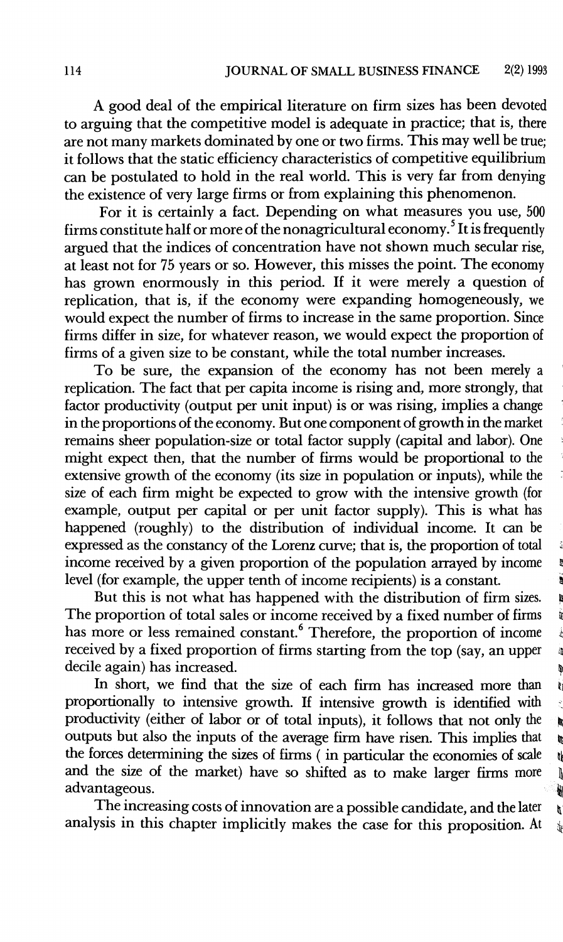A good deal of the empirical literature on firm sizes has been devoted to arguing that the competitive model is adequate in practice; that is, there are not many markets dominated by one or two firms. This may well be true; it follows that the static efficiency characteristics of competitive equilibrium can be postulated to hold in the real world. This is very far from denying the existence of very large firms or from explaining this phenomenon.

For it is certainly a fact. Depending on what measures you use, 500 firms constitute half or more of the nonagricultural economy.<sup>5</sup> It is frequently argued that the indices of concentration have not shown much secular rise, at least not for 75 years or so. However, this misses the point. The economy has grown enormously in this period. If it were merely a question of replication, that is, if the economy were expanding homogeneously, we would expect the number of firms to increase in the same proportion. Since firms differ in size, for whatever reason, we would expect the proportion of firms of a given size to be constant, while the total number increases.

To be sure, the expansion of the economy has not been merely a replication. The fact that per capita income is rising and, more strongly, that factor productivity (output per unit input) is or was rising, implies a change in the proportions of the economy. But one component of growth in the market remains sheer population-size or total factor supply (capital and labor). One might expect then, that the number of firms would be proportional to the extensive growth of the economy (its size in population or inputs), while the size of each firm might be expected to grow with the intensive growth (for example, output per capital or per unit factor supply). This is what has happened (roughly) to the distribution of individual income. It can be expressed as the constancy of the Lorenz curve; that is, the proportion of total income received by a given proportion of the population arrayed by income level (for example, the upper tenth of income recipients) is a constant.

But this is not what has happened with the distribution of firm sizes. The proportion of total sales or income received by a fixed number of firms has more or less remained constant.<sup>6</sup> Therefore, the proportion of income received by a fixed proportion of firms starting from the top (say, an upper decile again) has increased.

Ŋ į.

h ŋ  $\mathbf{I}$ 

伊山

s.<br>Str

In short, we find that the size of each firm has increased more than proportionally to intensive growth. If intensive growth is identified with productivity (either of labor or of total inputs), it follows that not only the outputs but also the inputs of the average firm have risen. This implies that the forces determining the sizes of firms ( in particular the economies of scale and the size of the market) have so shifted as to make larger firms more advantageous.

The increasing costs of innovation are a possible candidate, and the later analysis in this chapter implicitly makes the case for this proposition. At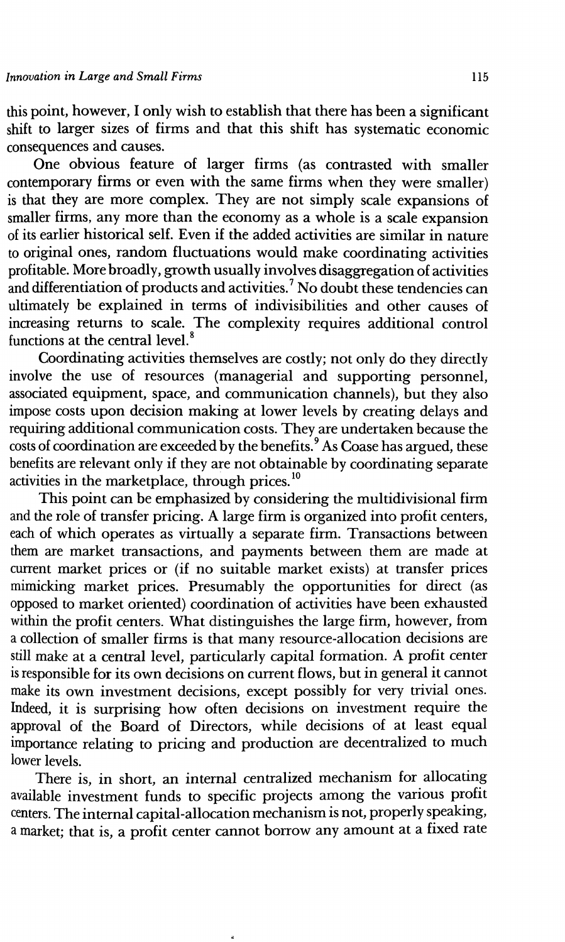this point, however, I only wish to establish that there has been a significant shift to larger sizes of firms and that this shift has systematic economic consequences and causes.

One obvious feature of larger firms (as contrasted with smaller contemporary firms or even with the same firms when they were smaller) is that they are more complex. They are not simply scale expansions of smaller firms, any more than the economy as a whole is a scale expansion of its earlier historical self. Even if the added activities are similar in nature to original ones, random fluctuations would make coordinating activities profitable. More broadly, growth usually involves disaggregation of activities and differentiation of products and activities.<sup>7</sup> No doubt these tendencies can ultimately be explained in terms of indivisibilities and other causes of increasing returns to scale. The complexity requires additional control functions at the central level.<sup>8</sup>

Coordinating activities themselves are costly; not only do they directly involve the use of resources (managerial and supporting personnel, associated equipment, space, and communication channels), but they also impose costs upon decision making at lower levels by creating delays and requiring additional communication costs. They are undertaken because the costs of coordination are exceeded by the benefits. $\degree$  As Coase has argued, these benefits are relevant only if they are not obtainable by coordinating separate activities in the marketplace, through prices.<sup>10</sup>

This point can be emphasized by considering the multidivisional firm and the role of transfer pricing. A large firm is organized into profit centers, each of which operates as virtually a separate firm. Transactions between them are market transactions, and payments between them are made at current market prices or (if no suitable market exists) at transfer prices mimicking market prices. Presumably the opportunities for direct (as opposed to market oriented) coordination of activities have been exhausted within the profit centers. What distinguishes the large firm, however, from a collection of smaller firms is that many resource-allocation decisions are still make at a central level, particularly capital formation. A profit center is responsible for its own decisions on current flows, but in general it cannot make its own investment decisions, except possibly for very trivial ones. Indeed, it is surprising how often decisions on investment require the approval of the Board of Directors, while decisions of at least equal importance relating to pricing and production are decentralized to much lower levels.

There is, in short, an internal centralized mechanism for allocating available investment funds to specific projects among the various profit centers. The internal capital-allocation mechanism is not, properly speaking, a market; that is, a profit center cannot borrow any amount at a fixed rate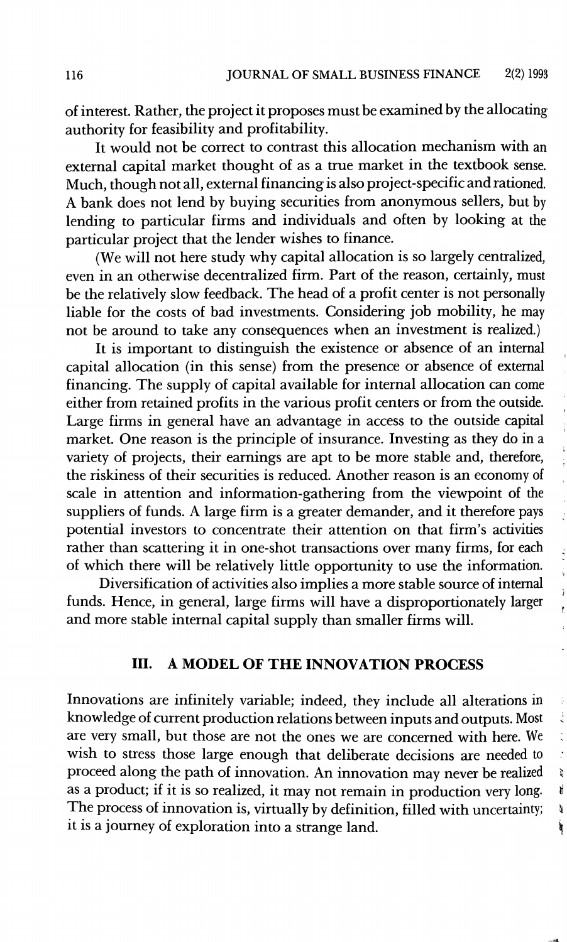į

 $\label{eq:2} \mathcal{L}(\mathbf{r}) = \mathbf{r}(\mathbf{r}) = \mathbf{r}(\mathbf{r})$ 

E. ł ¥ ģ

of interest. Rather, the project it proposes must be examined by the allocating authority for feasibility and profitability.

It would not be correct to contrast this allocation mechanism with an external capital market thought of as a true market in the textbook sense. Much, though not all, external financing is also project-specific and rationed. A bank does not lend by buying securities from anonymous sellers, but by lending to particular firms and individuals and often by looking at the particular project that the lender wishes to finance.

(We will not here study why capital allocation is so largely centralized, even in an otherwise decentralized firm. Part of the reason, certainly, must be the relatively slow feedback. The head of a profit center is not personally liable for the costs of bad investments. Considering job mobility, he may not be around to take any consequences when an investment is realized.)

It is important to distinguish the existence or absence of an internal capital allocation (in this sense) from the presence or absence of extemal financing. The supply of capital available for internal allocation can come either from retained profits in the various profit centers or from the outside. Large firms in general have an advantage in access to the outside capital market. One reason is the principle of insurance. Investing as they do in a variety of projects, their earnings are apt to be more stable and, therefore, the riskiness of their securities is reduced. Another reason is an economy of scale in attention and information-gathering from the viewpoint of the suppliers of funds. A large firm is a greater demander, and it therefore pays potential investors to concentrate their attention on that firm's activities rather than scattering it in one-shot transactions over many firms, for each of which there will be relatively little opportunity to use the information.

Diversification of activities also implies a more stable source of internal funds. Hence, in general, large firms will have a disproportionately larger and more stable internal capital supply than smaller firms will.

### III. A MODEL OF THE INNOVATION PROCESS

Innovations are infinitely variable; indeed, they include all alterations in knowledge of current production relations between inputs and outputs. Most are very small, but those are not the ones we are concerned with here. We wish to stress those large enough that deliberate decisions are needed to proceed along the path of innovation. An innovation may never be realized as a product; if it is so realized, it may not remain in production very long. The process of innovation is, virtually by definition, filled with uncertainty; it is a journey of exploration into a strange land.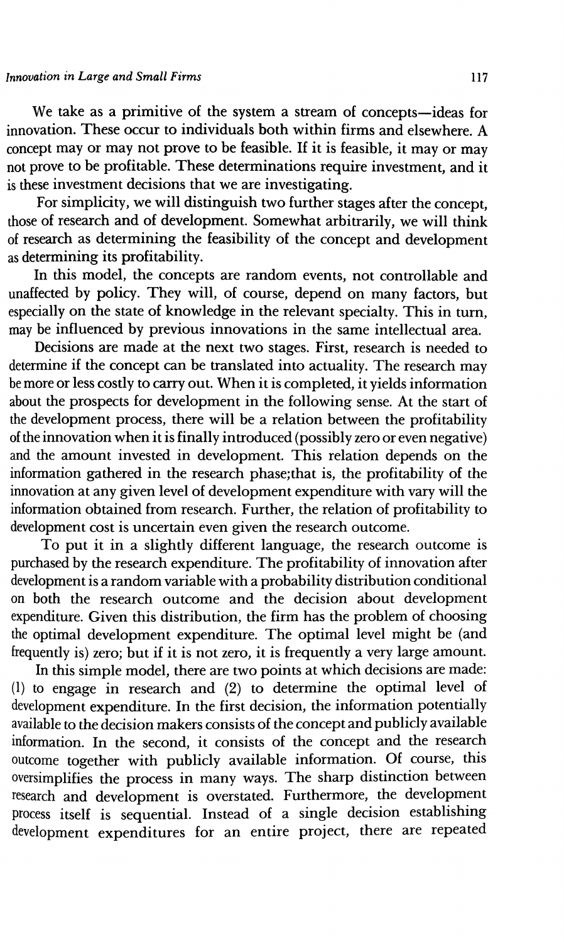We take as a primitive of the system a stream of concepts—ideas for innovation. These occur to individuals both within firms and elsewhere. A concept may or may not prove to be feasible. If it is feasible, it may or may not prove to be profitable. These determinations require investment, and it is these investment decisions that we are investigating.

For simplicity, we will distinguish two further stages after the concept, those of research and of development. Somewhat arbitrarily, we will think of research as determining the feasibility of the concept and development as determining its profitability.

In this model, the concepts are random events, not controllable and unaffected by policy. They will, of course, depend on many factors, but especially on the state of knowledge in the relevant specialty. This in turn, may be influenced by previous innovations in the same intellectual area.

Decisions are made at the next two stages. First, research is needed to determine if the concept can be translated into actuality. The research may be more or less costly to carry out. When it is completed, it yields information about the prospects for development in the following sense. At the start of the development process, there will be a relation between the profitability of the innovation when it is finally introduced (possibly zero or even negative) and the amount invested in development. This relation depends on the information gathered in the research phase;that is, the profitability of the innovation at any given level of development expenditure with vary will the information obtained from research. Further, the relation of profitability to development cost is uncertain even given the research outcome.

To put it in a slightly different language, the research outcome is purchased by the research expenditure. The profitability of innovation after development is a random variable with a probability distribution conditional on both the research outcome and the decision about development expenditure. Given this distribution, the firm has the problem of choosing the optimal development expenditure. The optimal level might be (and frequendy is) zero; but if it is not zero, it is frequently a very large amount.

In this simple model, there are two points at which decisions are made: (1) to engage in research and  $(2)$  to determine the optimal level of development expenditure. In the first decision, the information potentially available to the decision makers consists of the concept and publicly available information. In the second, it consists of the concept and the research outcome together with publicly available information. Of course, this oversimplifies the process in many ways. The sharp distinction between research and development is overstated. Furthermore, the development process itself is sequential. Instead of a single decision establishing development expenditures for an entire project, there are repeated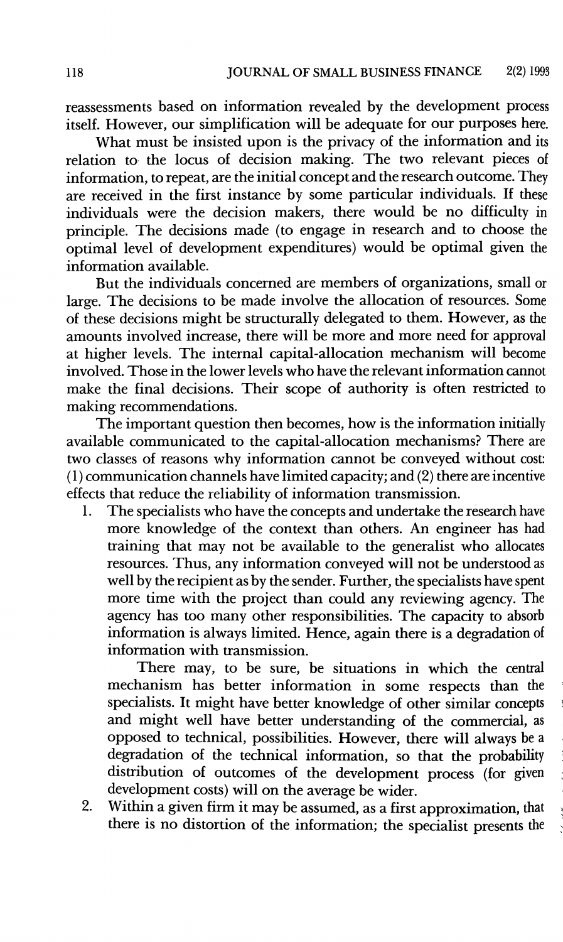reassessments based on information revealed by the development process itself. However, our simplification will be adequate for our purposes here.

What must be insisted upon is the privacy of the information and its relation to the locus of decision making. The two relevant pieces of information, to repeat, are the initial concept and the research outcome. They are received in the first instance by some particular individuals. If these individuals were the decision makers, there would be no difficulty in principle. The decisions made (to engage in research and to choose the optimal level of development expenditures) would be optimal given the information available.

But the individuals concerned are members of organizations, small or large. The decisions to be made involve the allocation of resources. Some of these decisions might be structurally delegated to them. However, as the amounts involved increase, there will be more and more need for approval at higher levels. The internal capital-allocation mechanism will become involved. Those in the lower levels who have the relevant information cannot make the final decisions. Their scope of authority is often restricted to making recommendations.

The important question then becomes, how is the information initially available communicated to the capital-allocation mechanisms? There are two classes of reasons why information cannot be conveyed without cost; (1) communication channels have limited capacity; and (2) there are incentive effects that reduce the reliability of information transmission.

1. The specialists who have the concepts and undertake the research have more knowledge of the context than others. An engineer has had training that may not be available to the generalist who allocates resources. Thus, any information conveyed will not be understood as well by the recipient as by the sender. Further, the specialists have spent more time with the project than could any reviewing agency. The agency has too many other responsibilities. The capacity to absorb information is always limited. Hence, again there is a degradation of information with transmission.

There may, to be sure, be situations in which the central mechanism has better information in some respects than the specialists. It might have better knowledge of other similar concepts and might well have better understanding of the commercial, as opposed to technical, possibilities. However, there will always be a degradation of the technical information, so that the probability distribution of outcomes of the development process (for given development costs) will on the average be wider.

2. Within a given firm it may be assumed, as a first approximation, that there is no distortion of the information; the specialist presents the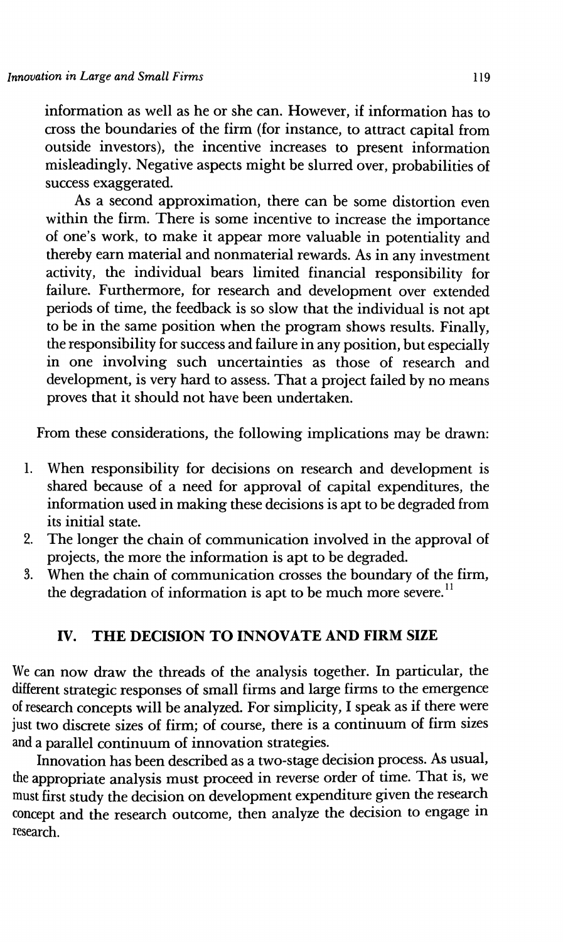information as well as he or she can. However, if information has to cross the boundaries of the firm (for instance, to attract capital from outside investors), the incentive increases to present information misleadingly. Negative aspects might be slurred over, probabilities of success exaggerated.

As a second approximation, there can be some distortion even within the firm. There is some incentive to increase the importance of one's work, to make it appear more valuable in potentiality and thereby earn material and nonmaterial rewards. As in any investment activity, the individual bears limited financial responsibility for failure. Furthermore, for research and development over extended periods of time, the feedback is so slow that the individual is not apt to be in the same position when the program shows results. Finally, the responsibility for success and failure in any position, but especially in one involving such uncertainties as those of research and development, is very hard to assess. That a project failed by no means proves that it should not have been undertaken.

From these considerations, the following implications may be drawn:

- 1. When responsibility for decisions on research and development is shared because of a need for approval of capital expenditures, the information used in making these decisions is apt to be degraded from its initial state.
- 2. The longer the chain of communication involved in the approval of projects, the more the information is apt to be degraded.
- 3. When the chain of communication crosses the boundary of the firm, the degradation of information is apt to be much more severe.<sup>11</sup>

### IV. THE DECISION TO INNOVATE AND FIRM SIZE

We can now draw the threads of the analysis together. In particular, the different strategic responses of small firms and large firms to the emergence of research concepts will be analyzed. For simplicity, I speak as if there were just two discrete sizes of firm; of course, there is a continuum of firm sizes and a parallel continuum of innovation strategies.

Innovation has been described as a two-stage decision process. As usual, the appropriate analysis must proceed in reverse order of time. That is, we must first study the decision on development expenditure given the research concept and the research outcome, then analyze the decision to engage in research.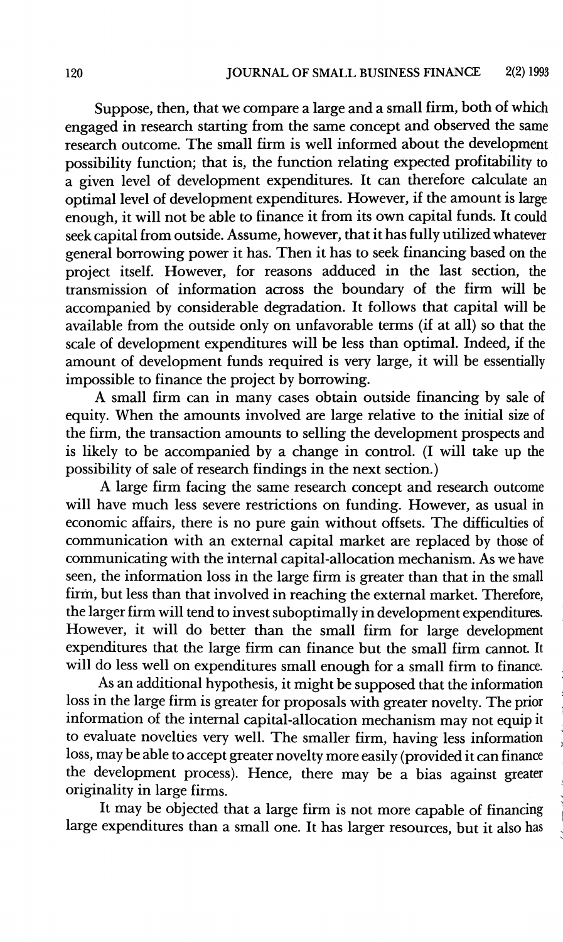Suppose, then, that we compare a large and a small firm, both of which engaged in research starting from the same concept and observed the same research outcome. The small firm is well informed about the development possibility function; that is, the function relating expected profitability to a given level of development expenditures. It can therefore calculate an optimal level of development expenditures. However, if the amount is large enough, it will not be able to finance it from its own capital funds. It could seek capital from outside. Assume, however, that it has fully utilized whatever general borrowing power it has. Then it has to seek financing based on the project itself. However, for reasons adduced in the last section, the transmission of information across the boundary of the firm will he accompanied by considerable degradation. It follows that capital will he available from the outside only on unfavorable terms (if at all) so that the scale of development expenditures will be less than optimal. Indeed, if the amount of development funds required is very large, it will be essentially impossible to finance the project by borrowing.

A small firm can in many cases obtain outside financing by sale of equity. When the amounts involved are large relative to the initial size of the firm, the transaction amounts to selling the development prospects and is likely to be accompanied by a change in control. (I will take up the possibility of sale of research findings in the next section.)

A large firm facing the same research concept and research outcome will have much less severe restrictions on funding. However, as usual in economic affairs, there is no pure gain without offsets. The difficulties of communication with an external capital market are replaced by those of communicating with the internal capital-allocation mechanism. As we have seen, the information loss in the large firm is greater than that in the small firm, but less than that involved in reaching the external market. Therefore, the larger firm will tend to invest suboptimally in development expenditures. However, it will do better than the small firm for large development expenditures that the large firm can finance but the small firm cannot. It will do less well on expenditures small enough for a small firm to finance.

As an additional hypothesis, it might be supposed that the information loss in the large firm is greater for proposals with greater novelty. The prior information of the internal capital-allocation mechanism may not equip it to evaluate novelties very well. The smaller firm, having less information loss, may be able to accept greater novelty more easily (provided it can finance the development process). Hence, there may be a bias against greater originality in large firms.

It may be objected that a large firm is not more capable of financing large expenditures than a small one. It has larger resources, but it also has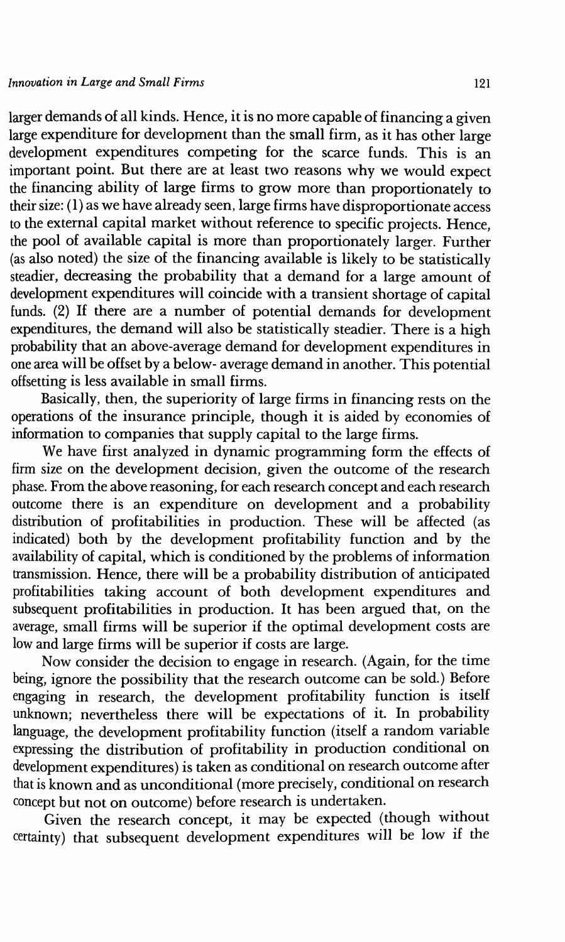larger demands of all kinds. Hence, it is no more capable of financing a given large expenditure for development than the small firm, as it has other large development expenditures competing for the scarce funds. This is an important point. But there are at least two reasons why we would expect the financing ability of large firms to grow more than proportionately to their size: (1) as we have already seen, large firms have disproportionate access to the external capital market without reference to specific projects. Hence, the pool of available capital is more than proportionately larger. Further (as also noted) the size of the financing available is likely to be statistically steadier, decreasing the probability that a demand for a large amount of development expenditures will coincide with a transient shortage of capital funds. (2) If there are a number of potential demands for development expenditures, the demand will also be statistically steadier. There is a high probability that an above-average demand for development expenditures in one area will be offset by a below- average demand in another. This potential offsetting is less available in small firms.

Basically, then, the superiority of large firms in financing rests on the operations of the insurance principle, though it is aided by economies of information to companies that supply capital to the large firms.

We have first analyzed in dynamic programming form the effects of firm size on the development decision, given the outcome of the research phase. From the above reasoning, for each research concept and each research outcome there is an expenditure on development and a probability distribution of profitabilities in production. These will be affected (as indicated) both by the development profitability function and by the availability of capital, which is conditioned by the problems of information transmission. Hence, there will be a probability distribution of anticipated profitabilities taking account of both development expenditures and subsequent profitabilities in production. It has been argued that, on the average, small firms will be superior if the optimal development costs are low and large firms will be superior if costs are large.

Now consider the decision to engage in research. (Again, for the time being, ignore the possibility that the research outcome can be sold.) Before engaging in research, the development profitability function is itself unknown; nevertheless there will be expectations of it. In probability language, the development profitability function (itself a random variable expressing the distribution of profitability in production conditional on development expenditures) is taken as conditional on research outcome after that is known and as unconditional (more precisely, conditional on research concept but not on outcome) before research is undertaken.

Given the research concept, it may be expected (though without certainty) that subsequent development expenditures will be low if the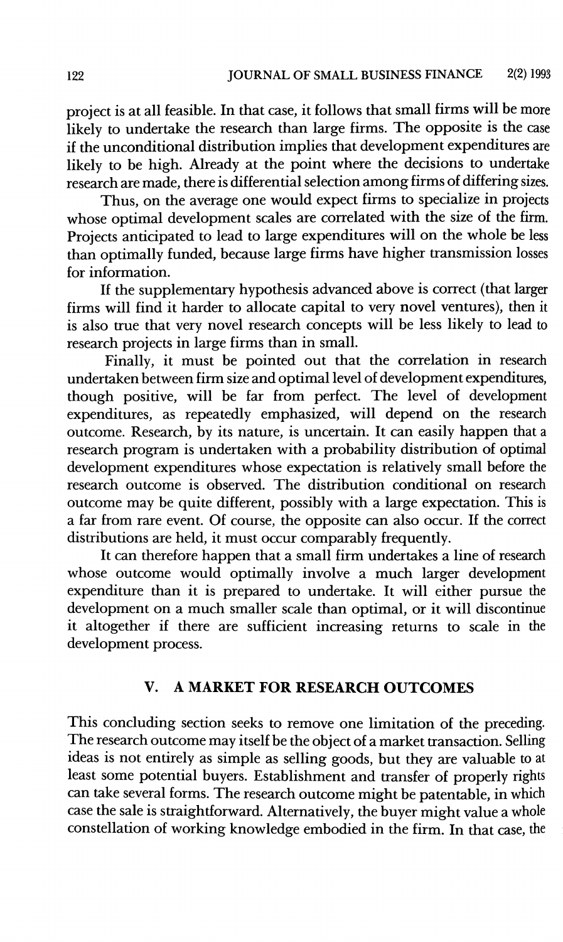project is at all feasible. In that case, it follows that small firms will be more likely to undertake the research than large firms. The opposite is the case if the unconditional distribution implies that development expenditures are likely to be high. Already at the point where the decisions to undertake research are made, there is differential selection among firms of differing sizes.

Thus, on the average one would expect firms to specialize in projects whose optimal development scales are correlated with the size of the firm. Projects anticipated to lead to large expenditures will on the whole be less than optimally funded, because large firms have higher transmission losses for information.

If the supplementary hypothesis advanced above is correct (that larger firms will find it harder to allocate capital to very novel ventures), then it is also true that very novel research concepts will be less likely to lead to research projects in large firms than in small.

Finally, it must be pointed out that the correlation in research undertaken between firm size and optimal level of development expenditures, though positive, will be far from perfect. The level of development expenditures, as repeatedly emphasized, will depend on the research outcome. Research, by its nature, is uncertain. It can easily happen that a research program is undertaken with a probability distribution of optimal development expenditures whose expectation is relatively small before the research outcome is observed. The distribution conditional on research outcome may be quite different, possibly with a large expectation. This is a far from rare event. Of course, the opposite can also occur. If the correct distributions are held, it must occur comparably frequently.

It can therefore happen that a small firm undertakes a line of research whose outcome would optimally involve a much larger development expenditure than it is prepared to undertake. It will either pursue the development on a much smaller scale than optimal, or it will discontinue it altogether if there are sufficient increasing returns to scale in the development process.

### V. A MARKET FOR RESEARCH OUTCOMES

This concluding section seeks to remove one limitation of the preceding. The research outcome may itself be the object of a market transaction. Selling ideas is not entirely as simple as selling goods, but they are valuable to at least some potential buyers. Establishment and transfer of properly rights can take several forms. The research outcome might be patentable, in which case the sale is straightforward. Alternatively, the buyer might value a whole constellation of working knowledge embodied in the firm. In that case, the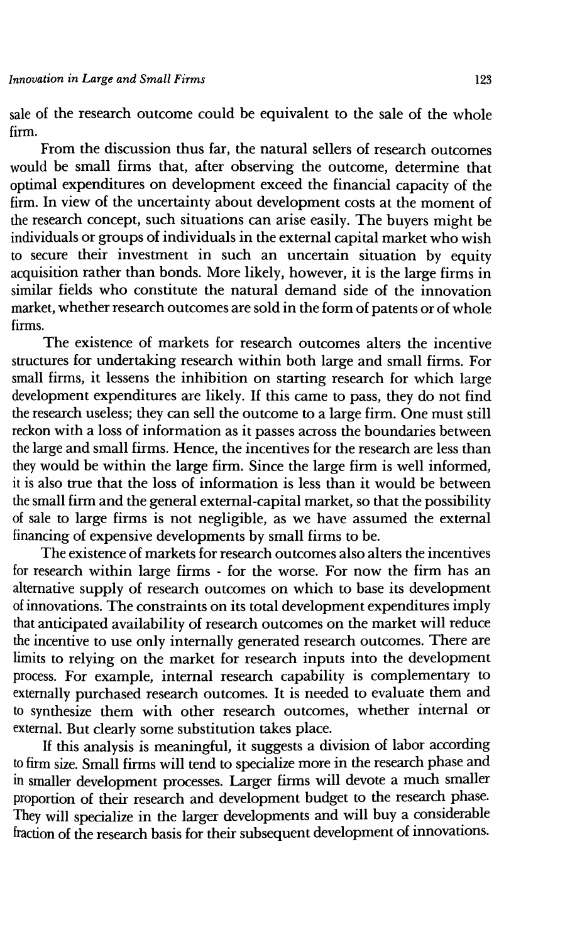sale of the research outcome could be equivalent to the sale of the whole firm.

From the discussion thus far, the natural sellers of research outcomes would be small firms that, after observing the outcome, determine that optimal expenditures on development exceed the financial capacity of the firm. In view of the uncertainty about development costs at the moment of the research concept, such situations can arise easily. The buyers might be individuals or groups of individuals in the external capital market who wish to secure their investment in such an uncertain situation by equity acquisition rather than bonds. More likely, however, it is the large firms in similar fields who constitute the natural demand side of the innovation market, whether research outcomes are sold in the form of patents or of whole firms.

The existence of markets for research outcomes alters the incentive structures for undertaking research within both large and small firms. For small firms, it lessens the inhibition on starting research for which large development expenditures are likely. If this came to pass, they do not find the research useless; they can sell the outcome to a large firm. One must still reckon with a loss of information as it passes across the boundaries between the large and small firms. Hence, the incentives for the research are less than they would be within the large firm. Since the large firm is well informed, it is also true that the loss of information is less than it would be between the small firm and the general external-capital market, so that the possibility of sale to large firms is not negligible, as we have assumed the external financing of expensive developments by small firms to be.

The existence of markets for research outcomes also alters the incentives for research within large firms - for the worse. For now the firm has an altemative supply of research outcomes on which to base its development of innovations. The constraints on its total development expenditures imply that anticipated availability of research outcomes on the market will reduce the incentive to use only internally generated research outcomes. There are limits to relying on the market for research inputs into the development process. For example, internal research capability is complementary to externally purchased research outcomes. It is needed to evaluate them and to synthesize them with other research outcomes, whether internal or external. But clearly some substitution takes place.

If this analysis is meaningful, it suggests a division of labor according to firm size. Small firms will tend to specialize more in the research phase and in smaller development processes. Larger firms will devote a much smaller proportion of their research and development budget to the research phase. They will specialize in the larger developments and will buy a considerable fraction of the research basis for their subsequent development of innovations.